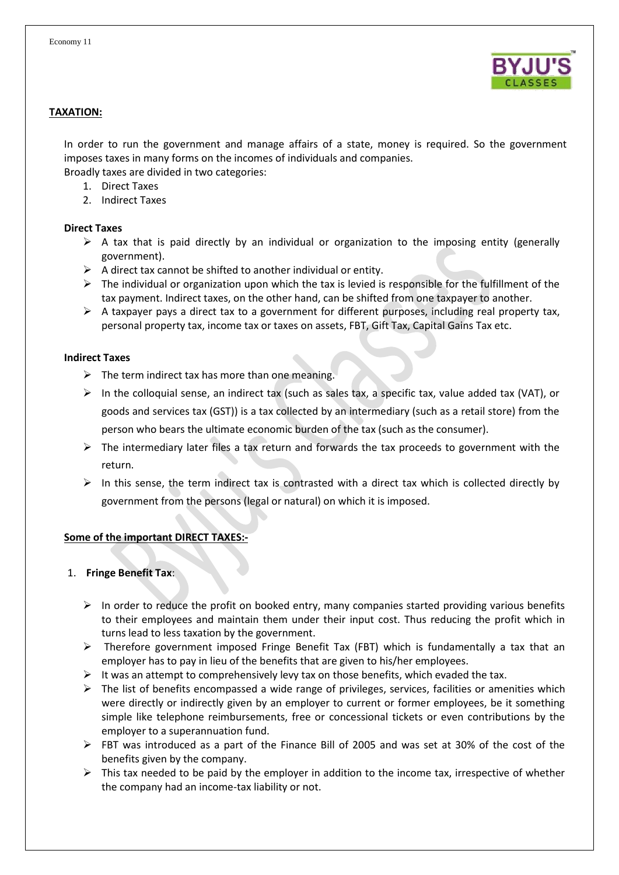

# **TAXATION:**

In order to run the government and manage affairs of a state, money is required. So the government imposes taxes in many forms on the incomes of individuals and companies. Broadly taxes are divided in two categories:

- 1. Direct Taxes
- 2. Indirect Taxes

# **Direct Taxes**

- $\triangleright$  A tax that is paid directly by an individual or organization to the imposing entity (generally government).
- $\triangleright$  A direct tax cannot be shifted to another individual or entity.
- $\triangleright$  The individual or organization upon which the tax is levied is responsible for the fulfillment of the tax payment. Indirect taxes, on the other hand, can be shifted from one taxpayer to another.
- $\triangleright$  A taxpayer pays a direct tax to a government for different purposes, including real property tax, personal property tax, income tax or taxes on assets, FBT, Gift Tax, Capital Gains Tax etc.

# **Indirect Taxes**

- $\triangleright$  The term indirect tax has more than one meaning.
- $\triangleright$  In the colloquial sense, an indirect tax (such as sales tax, a specific tax, value added tax (VAT), or goods and services tax (GST)) is a tax collected by an intermediary (such as a retail store) from the person who bears the ultimate economic burden of the tax (such as the consumer).
- $\triangleright$  The intermediary later files a tax return and forwards the tax proceeds to government with the return.
- $\triangleright$  In this sense, the term indirect tax is contrasted with a direct tax which is collected directly by government from the persons (legal or natural) on which it is imposed.

# **Some of the important DIRECT TAXES:-**

# 1. **Fringe Benefit Tax**:

- $\triangleright$  In order to reduce the profit on booked entry, many companies started providing various benefits to their employees and maintain them under their input cost. Thus reducing the profit which in turns lead to less taxation by the government.
- Therefore government imposed Fringe Benefit Tax (FBT) which is fundamentally a tax that an employer has to pay in lieu of the benefits that are given to his/her employees.
- $\triangleright$  It was an attempt to comprehensively levy tax on those benefits, which evaded the tax.
- $\triangleright$  The list of benefits encompassed a wide range of privileges, services, facilities or amenities which were directly or indirectly given by an employer to current or former employees, be it something simple like telephone reimbursements, free or concessional tickets or even contributions by the employer to a superannuation fund.
- $\triangleright$  FBT was introduced as a part of the Finance Bill of 2005 and was set at 30% of the cost of the benefits given by the company.
- $\triangleright$  This tax needed to be paid by the employer in addition to the income tax, irrespective of whether the company had an income-tax liability or not.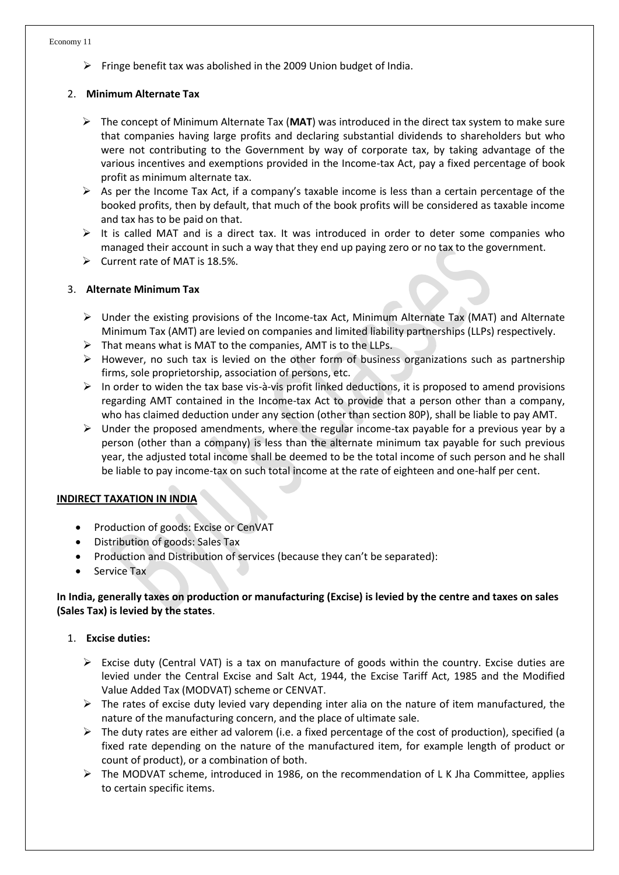#### Economy 11

 $\triangleright$  Fringe benefit tax was abolished in the 2009 Union budget of India.

# 2. **Minimum Alternate Tax**

- The concept of Minimum Alternate Tax (**MAT**) was introduced in the direct tax system to make sure that companies having large profits and declaring substantial dividends to shareholders but who were not contributing to the Government by way of corporate tax, by taking advantage of the various incentives and exemptions provided in the Income-tax Act, pay a fixed percentage of book profit as minimum alternate tax.
- $\triangleright$  As per the Income Tax Act, if a company's taxable income is less than a certain percentage of the booked profits, then by default, that much of the book profits will be considered as taxable income and tax has to be paid on that.
- $\triangleright$  It is called MAT and is a direct tax. It was introduced in order to deter some companies who managed their account in such a way that they end up paying zero or no tax to the government.
- $\triangleright$  Current rate of MAT is 18.5%.

# 3. **Alternate Minimum Tax**

- $\triangleright$  Under the existing provisions of the Income-tax Act, Minimum Alternate Tax (MAT) and Alternate Minimum Tax (AMT) are levied on companies and limited liability partnerships (LLPs) respectively.
- $\triangleright$  That means what is MAT to the companies, AMT is to the LLPs.
- $\triangleright$  However, no such tax is levied on the other form of business organizations such as partnership firms, sole proprietorship, association of persons, etc.
- $\triangleright$  In order to widen the tax base vis-à-vis profit linked deductions, it is proposed to amend provisions regarding AMT contained in the Income-tax Act to provide that a person other than a company, who has claimed deduction under any section (other than section 80P), shall be liable to pay AMT.
- $\triangleright$  Under the proposed amendments, where the regular income-tax payable for a previous year by a person (other than a company) is less than the alternate minimum tax payable for such previous year, the adjusted total income shall be deemed to be the total income of such person and he shall be liable to pay income-tax on such total income at the rate of eighteen and one-half per cent.

# **INDIRECT TAXATION IN INDIA**

- Production of goods: Excise or CenVAT
- Distribution of goods: Sales Tax
- Production and Distribution of services (because they can't be separated):
- Service Tax

# **In India, generally taxes on production or manufacturing (Excise) is levied by the centre and taxes on sales (Sales Tax) is levied by the states**.

# 1. **Excise duties:**

- $\triangleright$  Excise duty (Central VAT) is a tax on manufacture of goods within the country. Excise duties are levied under the Central Excise and Salt Act, 1944, the Excise Tariff Act, 1985 and the Modified Value Added Tax (MODVAT) scheme or CENVAT.
- $\triangleright$  The rates of excise duty levied vary depending inter alia on the nature of item manufactured, the nature of the manufacturing concern, and the place of ultimate sale.
- $\triangleright$  The duty rates are either ad valorem (i.e. a fixed percentage of the cost of production), specified (a fixed rate depending on the nature of the manufactured item, for example length of product or count of product), or a combination of both.
- The MODVAT scheme, introduced in 1986, on the recommendation of L K Jha Committee, applies to certain specific items.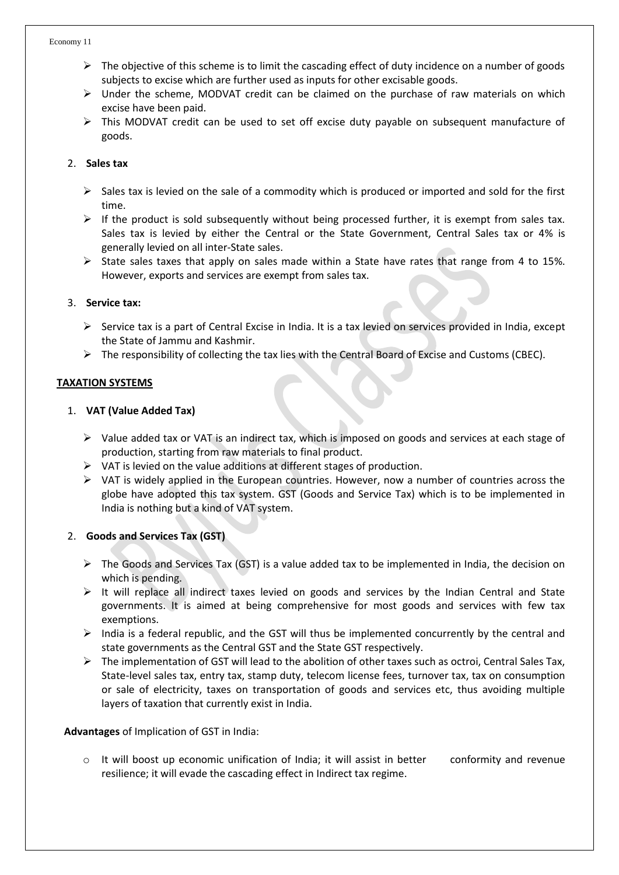#### Economy 11

- $\triangleright$  The objective of this scheme is to limit the cascading effect of duty incidence on a number of goods subjects to excise which are further used as inputs for other excisable goods.
- $\triangleright$  Under the scheme, MODVAT credit can be claimed on the purchase of raw materials on which excise have been paid.
- $\triangleright$  This MODVAT credit can be used to set off excise duty payable on subsequent manufacture of goods.

### 2. **Sales tax**

- $\triangleright$  Sales tax is levied on the sale of a commodity which is produced or imported and sold for the first time.
- $\triangleright$  If the product is sold subsequently without being processed further, it is exempt from sales tax. Sales tax is levied by either the Central or the State Government, Central Sales tax or 4% is generally levied on all inter-State sales.
- $\triangleright$  State sales taxes that apply on sales made within a State have rates that range from 4 to 15%. However, exports and services are exempt from sales tax.

### 3. **Service tax:**

- $\triangleright$  Service tax is a part of Central Excise in India. It is a tax levied on services provided in India, except the State of Jammu and Kashmir.
- $\triangleright$  The responsibility of collecting the tax lies with the Central Board of Excise and Customs (CBEC).

### **TAXATION SYSTEMS**

### 1. **VAT (Value Added Tax)**

- Value added tax or VAT is an indirect tax, which is imposed on goods and services at each stage of production, starting from raw materials to final product.
- $\triangleright$  VAT is levied on the value additions at different stages of production.
- $\triangleright$  VAT is widely applied in the European countries. However, now a number of countries across the globe have adopted this tax system. GST (Goods and Service Tax) which is to be implemented in India is nothing but a kind of VAT system.

# 2. **Goods and Services Tax (GST)**

- $\triangleright$  The Goods and Services Tax (GST) is a value added tax to be implemented in India, the decision on which is pending.
- $\triangleright$  It will replace all indirect taxes levied on goods and services by the Indian Central and State governments. It is aimed at being comprehensive for most goods and services with few tax exemptions.
- $\triangleright$  India is a federal republic, and the GST will thus be implemented concurrently by the central and state governments as the Central GST and the State GST respectively.
- $\triangleright$  The implementation of GST will lead to the abolition of other taxes such as octroi, Central Sales Tax, State-level sales tax, entry tax, stamp duty, telecom license fees, turnover tax, tax on consumption or sale of electricity, taxes on transportation of goods and services etc, thus avoiding multiple layers of taxation that currently exist in India.

### **Advantages** of Implication of GST in India:

o It will boost up economic unification of India; it will assist in better conformity and revenue resilience; it will evade the cascading effect in Indirect tax regime.